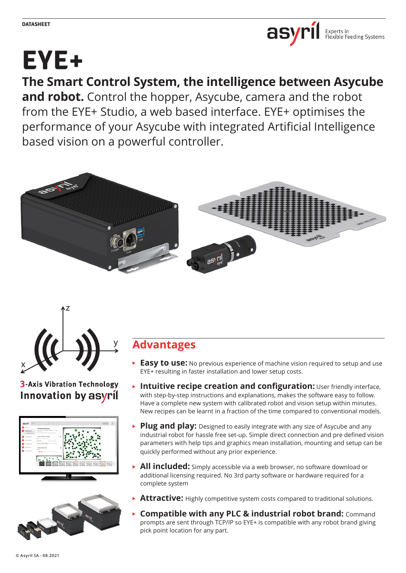

# **EYE+**

# **The Smart Control System, the intelligence between Asycube**

**and robot.** Control the hopper, Asycube, camera and the robot from the EYE+ Studio, a web based interface. EYE+ optimises the performance of your Asycube with integrated Artificial Intelligence based vision on a powerful controller.





# **3-Axis Vibration Technology** Innovation by asyril





# **Advantages**

- **Easy to use:** No previous experience of machine vision required to setup and use EYE+ resulting in faster installation and lower setup costs.
- **Intuitive recipe creation and configuration:** User friendly interface, with step-by-step instructions and explanations, makes the software easy to follow. Have a complete new system with calibrated robot and vision setup within minutes. New recipes can be learnt in a fraction of the time compared to conventional models.
- **Plug and play:** Designed to easily integrate with any size of Asycube and any industrial robot for hassle free set-up. Simple direct connection and pre defined vision parameters with help tips and graphics mean installation, mounting and setup can be quickly performed without any prior experience.
- **All included:** Simply accessible via a web browser, no software download or additional licensing required. No 3rd party software or hardware required for a complete system
- **Attractive:** Highly competitive system costs compared to traditional solutions.
- **Compatible with any PLC & industrial robot brand:** Command  $\blacktriangleright$ prompts are sent through TCP/IP so EYE+ is compatible with any robot brand giving pick point location for any part.